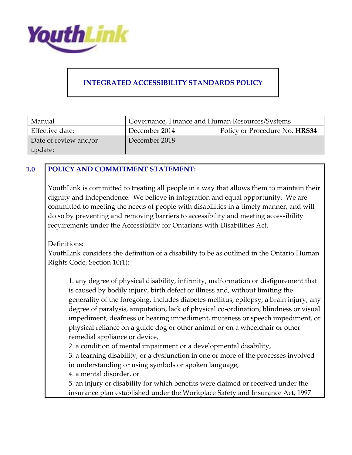

# **INTEGRATED ACCESSIBILITY STANDARDS POLICY**

| Manual                | Governance, Finance and Human Resources/Systems |                               |
|-----------------------|-------------------------------------------------|-------------------------------|
| Effective date:       | December 2014                                   | Policy or Procedure No. HRS34 |
| Date of review and/or | December 2018                                   |                               |
| update:               |                                                 |                               |

#### **1.0 POLICY AND COMMITMENT STATEMENT:**

YouthLink is committed to treating all people in a way that allows them to maintain their dignity and independence. We believe in integration and equal opportunity. We are committed to meeting the needs of people with disabilities in a timely manner, and will do so by preventing and removing barriers to accessibility and meeting accessibility requirements under the Accessibility for Ontarians with Disabilities Act.

Definitions:

YouthLink considers the definition of a disability to be as outlined in the Ontario Human Rights Code, Section 10(1):

1. any degree of physical disability, infirmity, malformation or disfigurement that is caused by bodily injury, birth defect or illness and, without limiting the generality of the foregoing, includes diabetes mellitus, epilepsy, a brain injury, any degree of paralysis, amputation, lack of physical co-ordination, blindness or visual impediment, deafness or hearing impediment, muteness or speech impediment, or physical reliance on a guide dog or other animal or on a wheelchair or other remedial appliance or device,

2. a condition of mental impairment or a developmental disability,

3. a learning disability, or a dysfunction in one or more of the processes involved in understanding or using symbols or spoken language,

4. a mental disorder, or

5. an injury or disability for which benefits were claimed or received under the insurance plan established under the Workplace Safety and Insurance Act, 1997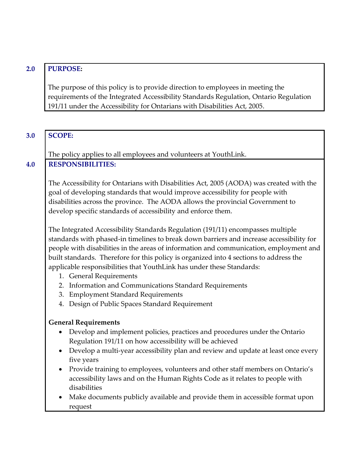## **2.0 PURPOSE:**

The purpose of this policy is to provide direction to employees in meeting the requirements of the Integrated Accessibility Standards Regulation, Ontario Regulation 191/11 under the Accessibility for Ontarians with Disabilities Act, 2005.

| 3.0 | <b>SCOPE:</b>                                                                                                                                                                                                                                                                                                                                                                                                                                                       |  |
|-----|---------------------------------------------------------------------------------------------------------------------------------------------------------------------------------------------------------------------------------------------------------------------------------------------------------------------------------------------------------------------------------------------------------------------------------------------------------------------|--|
|     |                                                                                                                                                                                                                                                                                                                                                                                                                                                                     |  |
|     | The policy applies to all employees and volunteers at YouthLink.                                                                                                                                                                                                                                                                                                                                                                                                    |  |
| 4.0 | <b>RESPONSIBILITIES:</b>                                                                                                                                                                                                                                                                                                                                                                                                                                            |  |
|     | The Accessibility for Ontarians with Disabilities Act, 2005 (AODA) was created with the<br>goal of developing standards that would improve accessibility for people with<br>disabilities across the province. The AODA allows the provincial Government to<br>develop specific standards of accessibility and enforce them.                                                                                                                                         |  |
|     | The Integrated Accessibility Standards Regulation (191/11) encompasses multiple<br>standards with phased-in timelines to break down barriers and increase accessibility for<br>people with disabilities in the areas of information and communication, employment and<br>built standards. Therefore for this policy is organized into 4 sections to address the<br>applicable responsibilities that YouthLink has under these Standards:<br>1. General Requirements |  |
|     | 2. Information and Communications Standard Requirements                                                                                                                                                                                                                                                                                                                                                                                                             |  |
|     | 3. Employment Standard Requirements                                                                                                                                                                                                                                                                                                                                                                                                                                 |  |
|     | 4. Design of Public Spaces Standard Requirement                                                                                                                                                                                                                                                                                                                                                                                                                     |  |
|     | <b>General Requirements</b><br>Develop and implement policies, practices and procedures under the Ontario<br>$\bullet$                                                                                                                                                                                                                                                                                                                                              |  |
|     | Regulation 191/11 on how accessibility will be achieved                                                                                                                                                                                                                                                                                                                                                                                                             |  |
|     | Develop a multi-year accessibility plan and review and update at least once every<br>five years                                                                                                                                                                                                                                                                                                                                                                     |  |
|     | Provide training to employees, volunteers and other staff members on Ontario's<br>$\bullet$<br>accessibility laws and on the Human Rights Code as it relates to people with<br>disabilities                                                                                                                                                                                                                                                                         |  |
|     | Make documents publicly available and provide them in accessible format upon<br>request                                                                                                                                                                                                                                                                                                                                                                             |  |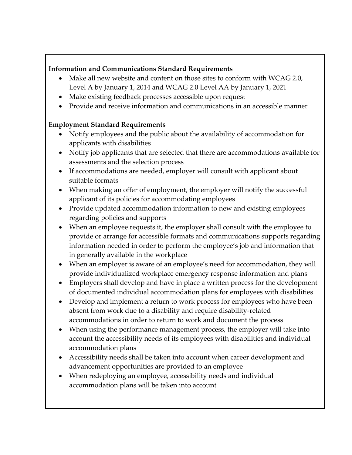### **Information and Communications Standard Requirements**

- Make all new website and content on those sites to conform with WCAG 2.0, Level A by January 1, 2014 and WCAG 2.0 Level AA by January 1, 2021
- Make existing feedback processes accessible upon request
- Provide and receive information and communications in an accessible manner

### **Employment Standard Requirements**

- Notify employees and the public about the availability of accommodation for applicants with disabilities
- Notify job applicants that are selected that there are accommodations available for assessments and the selection process
- If accommodations are needed, employer will consult with applicant about suitable formats
- When making an offer of employment, the employer will notify the successful applicant of its policies for accommodating employees
- Provide updated accommodation information to new and existing employees regarding policies and supports
- When an employee requests it, the employer shall consult with the employee to provide or arrange for accessible formats and communications supports regarding information needed in order to perform the employee's job and information that in generally available in the workplace
- When an employer is aware of an employee's need for accommodation, they will provide individualized workplace emergency response information and plans
- Employers shall develop and have in place a written process for the development of documented individual accommodation plans for employees with disabilities
- Develop and implement a return to work process for employees who have been absent from work due to a disability and require disability-related accommodations in order to return to work and document the process
- When using the performance management process, the employer will take into account the accessibility needs of its employees with disabilities and individual accommodation plans
- Accessibility needs shall be taken into account when career development and advancement opportunities are provided to an employee
- When redeploying an employee, accessibility needs and individual accommodation plans will be taken into account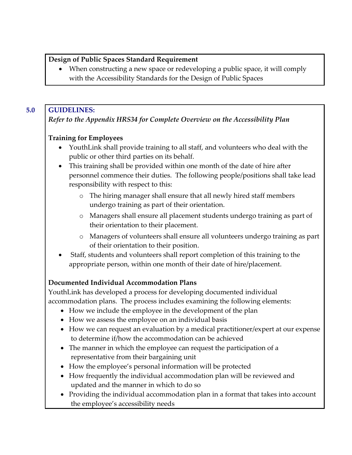#### **Design of Public Spaces Standard Requirement**

 When constructing a new space or redeveloping a public space, it will comply with the Accessibility Standards for the Design of Public Spaces

## **5.0 GUIDELINES:**

## *Refer to the Appendix HRS34 for Complete Overview on the Accessibility Plan*

## **Training for Employees**

- YouthLink shall provide training to all staff, and volunteers who deal with the public or other third parties on its behalf.
- This training shall be provided within one month of the date of hire after personnel commence their duties. The following people/positions shall take lead responsibility with respect to this:
	- o The hiring manager shall ensure that all newly hired staff members undergo training as part of their orientation.
	- o Managers shall ensure all placement students undergo training as part of their orientation to their placement.
	- o Managers of volunteers shall ensure all volunteers undergo training as part of their orientation to their position.
- Staff, students and volunteers shall report completion of this training to the appropriate person, within one month of their date of hire/placement.

# **Documented Individual Accommodation Plans**

YouthLink has developed a process for developing documented individual accommodation plans. The process includes examining the following elements:

- How we include the employee in the development of the plan
- How we assess the employee on an individual basis
- How we can request an evaluation by a medical practitioner/expert at our expense to determine if/how the accommodation can be achieved
- The manner in which the employee can request the participation of a representative from their bargaining unit
- How the employee's personal information will be protected
- How frequently the individual accommodation plan will be reviewed and updated and the manner in which to do so
- Providing the individual accommodation plan in a format that takes into account the employee's accessibility needs